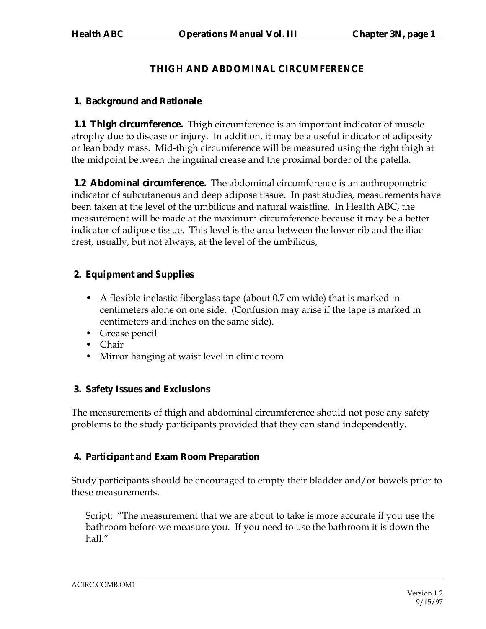# **THIGH AND ABDOMINAL CIRCUMFERENCE**

## **1. Background and Rationale**

**1.1 Thigh circumference.** Thigh circumference is an important indicator of muscle atrophy due to disease or injury. In addition, it may be a useful indicator of adiposity or lean body mass. Mid-thigh circumference will be measured using the right thigh at the midpoint between the inguinal crease and the proximal border of the patella.

**1.2 Abdominal circumference.** The abdominal circumference is an anthropometric indicator of subcutaneous and deep adipose tissue. In past studies, measurements have been taken at the level of the umbilicus and natural waistline. In Health ABC, the measurement will be made at the maximum circumference because it may be a better indicator of adipose tissue. This level is the area between the lower rib and the iliac crest, usually, but not always, at the level of the umbilicus,

## **2. Equipment and Supplies**

- A flexible inelastic fiberglass tape (about 0.7 cm wide) that is marked in centimeters alone on one side. (Confusion may arise if the tape is marked in centimeters and inches on the same side).
- Grease pencil
- Chair
- Mirror hanging at waist level in clinic room

# **3. Safety Issues and Exclusions**

The measurements of thigh and abdominal circumference should not pose any safety problems to the study participants provided that they can stand independently.

# **4. Participant and Exam Room Preparation**

Study participants should be encouraged to empty their bladder and/or bowels prior to these measurements.

Script: "The measurement that we are about to take is more accurate if you use the bathroom before we measure you. If you need to use the bathroom it is down the hall."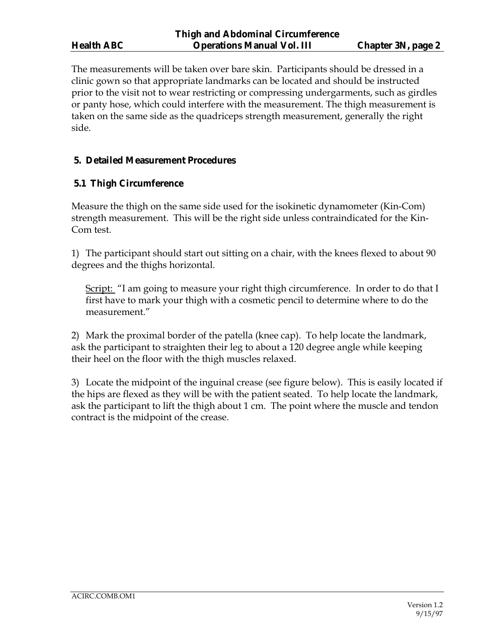The measurements will be taken over bare skin. Participants should be dressed in a clinic gown so that appropriate landmarks can be located and should be instructed prior to the visit not to wear restricting or compressing undergarments, such as girdles or panty hose, which could interfere with the measurement. The thigh measurement is taken on the same side as the quadriceps strength measurement, generally the right side.

## **5. Detailed Measurement Procedures**

## **5.1 Thigh Circumference**

Measure the thigh on the same side used for the isokinetic dynamometer (Kin-Com) strength measurement. This will be the right side unless contraindicated for the Kin-Com test.

1) The participant should start out sitting on a chair, with the knees flexed to about 90 degrees and the thighs horizontal.

<u>Script:</u> "I am going to measure your right thigh circumference. In order to do that I first have to mark your thigh with a cosmetic pencil to determine where to do the measurement.<sup>"</sup>

2) Mark the proximal border of the patella (knee cap). To help locate the landmark, ask the participant to straighten their leg to about a 120 degree angle while keeping their heel on the floor with the thigh muscles relaxed.

3) Locate the midpoint of the inguinal crease (see figure below). This is easily located if the hips are flexed as they will be with the patient seated. To help locate the landmark, ask the participant to lift the thigh about 1 cm. The point where the muscle and tendon contract is the midpoint of the crease.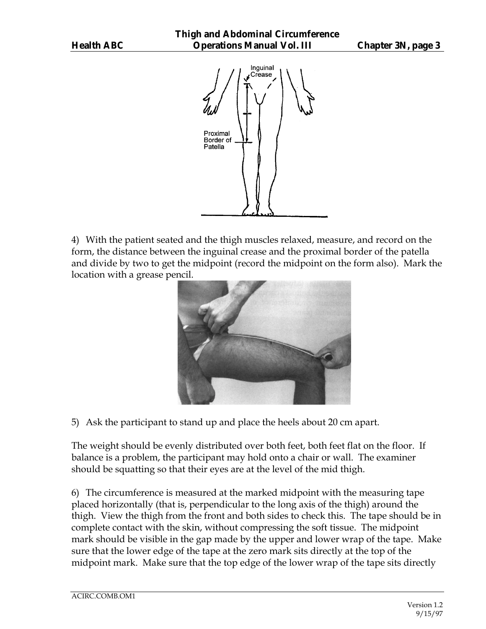

4) With the patient seated and the thigh muscles relaxed, measure, and record on the form, the distance between the inguinal crease and the proximal border of the patella and divide by two to get the midpoint (record the midpoint on the form also). Mark the location with a grease pencil.



5) Ask the participant to stand up and place the heels about 20 cm apart.

The weight should be evenly distributed over both feet, both feet flat on the floor. If balance is a problem, the participant may hold onto a chair or wall. The examiner should be squatting so that their eyes are at the level of the mid thigh.

6) The circumference is measured at the marked midpoint with the measuring tape placed horizontally (that is, perpendicular to the long axis of the thigh) around the thigh. View the thigh from the front and both sides to check this. The tape should be in complete contact with the skin, without compressing the soft tissue. The midpoint mark should be visible in the gap made by the upper and lower wrap of the tape. Make sure that the lower edge of the tape at the zero mark sits directly at the top of the midpoint mark. Make sure that the top edge of the lower wrap of the tape sits directly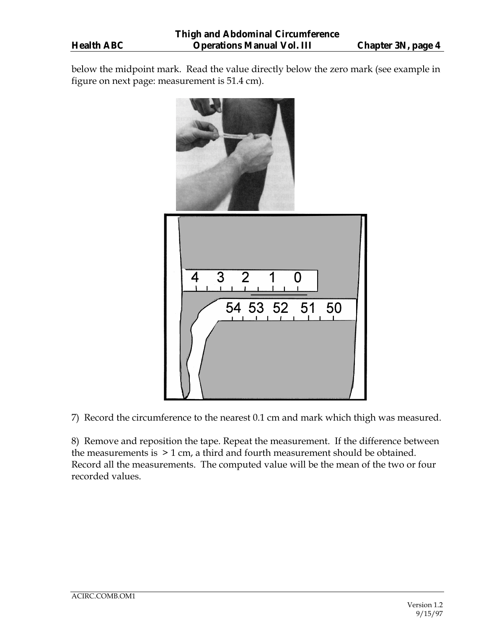below the midpoint mark. Read the value directly below the zero mark (see example in figure on next page: measurement is 51.4 cm).



7) Record the circumference to the nearest 0.1 cm and mark which thigh was measured.

8) Remove and reposition the tape. Repeat the measurement. If the difference between the measurements is > 1 cm, a third and fourth measurement should be obtained. Record all the measurements. The computed value will be the mean of the two or four recorded values.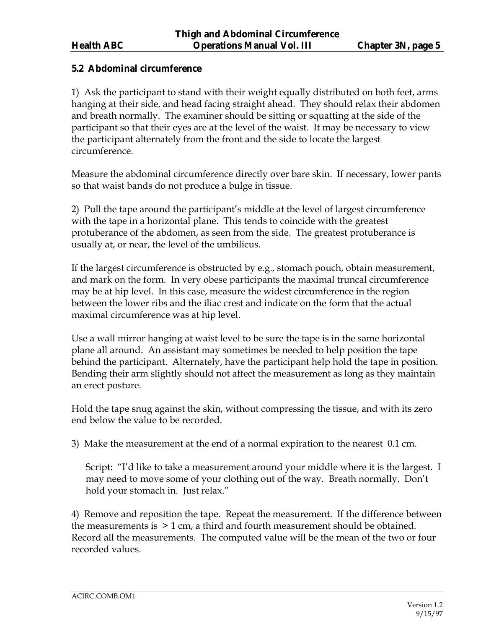## **5.2 Abdominal circumference**

1) Ask the participant to stand with their weight equally distributed on both feet, arms hanging at their side, and head facing straight ahead. They should relax their abdomen and breath normally. The examiner should be sitting or squatting at the side of the participant so that their eyes are at the level of the waist. It may be necessary to view the participant alternately from the front and the side to locate the largest circumference.

Measure the abdominal circumference directly over bare skin. If necessary, lower pants so that waist bands do not produce a bulge in tissue.

2) Pull the tape around the participant's middle at the level of largest circumference with the tape in a horizontal plane. This tends to coincide with the greatest protuberance of the abdomen, as seen from the side. The greatest protuberance is usually at, or near, the level of the umbilicus.

If the largest circumference is obstructed by e.g., stomach pouch, obtain measurement, and mark on the form. In very obese participants the maximal truncal circumference may be at hip level. In this case, measure the widest circumference in the region between the lower ribs and the iliac crest and indicate on the form that the actual maximal circumference was at hip level.

Use a wall mirror hanging at waist level to be sure the tape is in the same horizontal plane all around. An assistant may sometimes be needed to help position the tape behind the participant. Alternately, have the participant help hold the tape in position. Bending their arm slightly should not affect the measurement as long as they maintain an erect posture.

Hold the tape snug against the skin, without compressing the tissue, and with its zero end below the value to be recorded.

3) Make the measurement at the end of a normal expiration to the nearest 0.1 cm.

Script: "I'd like to take a measurement around your middle where it is the largest. I may need to move some of your clothing out of the way. Breath normally. Don't hold your stomach in. Just relax."

4) Remove and reposition the tape. Repeat the measurement. If the difference between the measurements is > 1 cm, a third and fourth measurement should be obtained. Record all the measurements. The computed value will be the mean of the two or four recorded values.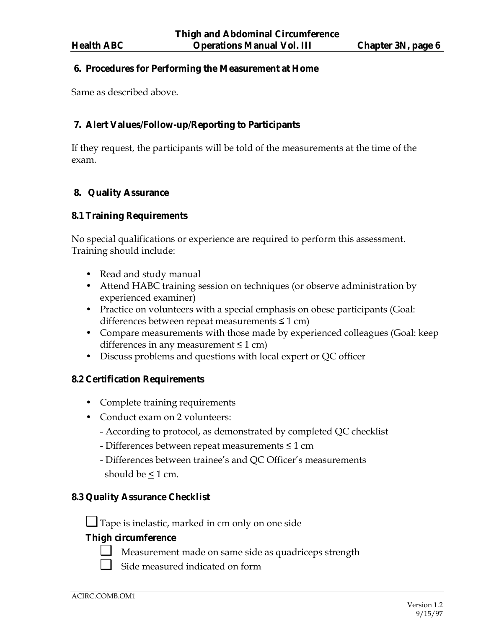#### **6. Procedures for Performing the Measurement at Home**

Same as described above.

### **7. Alert Values/Follow-up/Reporting to Participants**

If they request, the participants will be told of the measurements at the time of the exam.

## **8. Quality Assurance**

### **8.1 Training Requirements**

No special qualifications or experience are required to perform this assessment. Training should include:

- Read and study manual
- Attend HABC training session on techniques (or observe administration by experienced examiner)
- Practice on volunteers with a special emphasis on obese participants (Goal: differences between repeat measurements ≤ 1 cm)
- Compare measurements with those made by experienced colleagues (Goal: keep differences in any measurement  $\leq 1$  cm)
- Discuss problems and questions with local expert or QC officer

### **8.2 Certification Requirements**

- Complete training requirements
- Conduct exam on 2 volunteers:
	- According to protocol, as demonstrated by completed QC checklist
	- Differences between repeat measurements ≤ 1 cm
	- Differences between trainee's and QC Officer's measurements should be  $\leq 1$  cm.

## **8.3 Quality Assurance Checklist**

❑ Tape is inelastic, marked in cm only on one side

### **Thigh circumference**

- ❑ Measurement made on same side as quadriceps strength
	- Side measured indicated on form